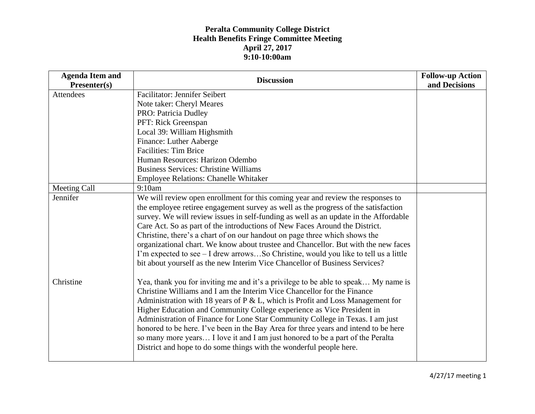| <b>Agenda Item and</b> | <b>Discussion</b>                                                                                                                                             | <b>Follow-up Action</b> |
|------------------------|---------------------------------------------------------------------------------------------------------------------------------------------------------------|-------------------------|
| Presenter(s)           |                                                                                                                                                               | and Decisions           |
| Attendees              | <b>Facilitator: Jennifer Seibert</b>                                                                                                                          |                         |
|                        | Note taker: Cheryl Meares                                                                                                                                     |                         |
|                        | PRO: Patricia Dudley                                                                                                                                          |                         |
|                        | PFT: Rick Greenspan                                                                                                                                           |                         |
|                        | Local 39: William Highsmith                                                                                                                                   |                         |
|                        | Finance: Luther Aaberge                                                                                                                                       |                         |
|                        | <b>Facilities: Tim Brice</b>                                                                                                                                  |                         |
|                        | Human Resources: Harizon Odembo                                                                                                                               |                         |
|                        | <b>Business Services: Christine Williams</b>                                                                                                                  |                         |
|                        | <b>Employee Relations: Chanelle Whitaker</b>                                                                                                                  |                         |
| Meeting Call           | 9:10am                                                                                                                                                        |                         |
| Jennifer               | We will review open enrollment for this coming year and review the responses to                                                                               |                         |
|                        | the employee retiree engagement survey as well as the progress of the satisfaction                                                                            |                         |
|                        | survey. We will review issues in self-funding as well as an update in the Affordable                                                                          |                         |
|                        | Care Act. So as part of the introductions of New Faces Around the District.                                                                                   |                         |
|                        | Christine, there's a chart of on our handout on page three which shows the                                                                                    |                         |
|                        | organizational chart. We know about trustee and Chancellor. But with the new faces                                                                            |                         |
|                        | I'm expected to see – I drew arrowsSo Christine, would you like to tell us a little                                                                           |                         |
|                        | bit about yourself as the new Interim Vice Chancellor of Business Services?                                                                                   |                         |
| Christine              | Yea, thank you for inviting me and it's a privilege to be able to speak My name is<br>Christine Williams and I am the Interim Vice Chancellor for the Finance |                         |
|                        | Administration with 18 years of $P \& L$ , which is Profit and Loss Management for                                                                            |                         |
|                        | Higher Education and Community College experience as Vice President in                                                                                        |                         |
|                        | Administration of Finance for Lone Star Community College in Texas. I am just                                                                                 |                         |
|                        | honored to be here. I've been in the Bay Area for three years and intend to be here                                                                           |                         |
|                        | so many more years I love it and I am just honored to be a part of the Peralta                                                                                |                         |
|                        | District and hope to do some things with the wonderful people here.                                                                                           |                         |
|                        |                                                                                                                                                               |                         |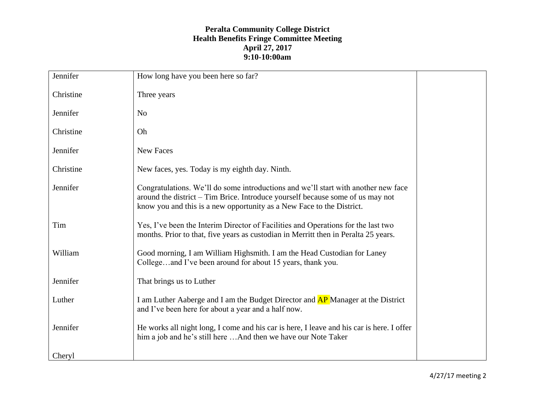| Jennifer  | How long have you been here so far?                                                                                                                                                                                                           |
|-----------|-----------------------------------------------------------------------------------------------------------------------------------------------------------------------------------------------------------------------------------------------|
| Christine | Three years                                                                                                                                                                                                                                   |
| Jennifer  | N <sub>o</sub>                                                                                                                                                                                                                                |
| Christine | Oh                                                                                                                                                                                                                                            |
| Jennifer  | New Faces                                                                                                                                                                                                                                     |
| Christine | New faces, yes. Today is my eighth day. Ninth.                                                                                                                                                                                                |
| Jennifer  | Congratulations. We'll do some introductions and we'll start with another new face<br>around the district – Tim Brice. Introduce yourself because some of us may not<br>know you and this is a new opportunity as a New Face to the District. |
| Tim       | Yes, I've been the Interim Director of Facilities and Operations for the last two<br>months. Prior to that, five years as custodian in Merritt then in Peralta 25 years.                                                                      |
| William   | Good morning, I am William Highsmith. I am the Head Custodian for Laney<br>Collegeand I've been around for about 15 years, thank you.                                                                                                         |
| Jennifer  | That brings us to Luther                                                                                                                                                                                                                      |
| Luther    | I am Luther Aaberge and I am the Budget Director and <b>AP</b> Manager at the District<br>and I've been here for about a year and a half now.                                                                                                 |
| Jennifer  | He works all night long, I come and his car is here, I leave and his car is here. I offer<br>him a job and he's still here  And then we have our Note Taker                                                                                   |
| Cheryl    |                                                                                                                                                                                                                                               |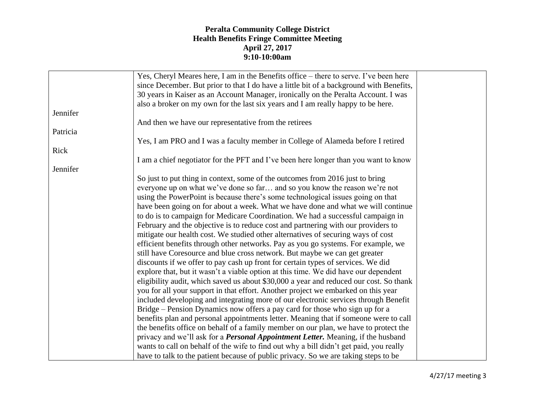|          | Yes, Cheryl Meares here, I am in the Benefits office – there to serve. I've been here    |  |
|----------|------------------------------------------------------------------------------------------|--|
|          | since December. But prior to that I do have a little bit of a background with Benefits,  |  |
|          | 30 years in Kaiser as an Account Manager, ironically on the Peralta Account. I was       |  |
|          | also a broker on my own for the last six years and I am really happy to be here.         |  |
| Jennifer |                                                                                          |  |
|          | And then we have our representative from the retirees                                    |  |
| Patricia |                                                                                          |  |
|          | Yes, I am PRO and I was a faculty member in College of Alameda before I retired          |  |
| Rick     |                                                                                          |  |
|          | I am a chief negotiator for the PFT and I've been here longer than you want to know      |  |
| Jennifer |                                                                                          |  |
|          | So just to put thing in context, some of the outcomes from 2016 just to bring            |  |
|          | everyone up on what we've done so far and so you know the reason we're not               |  |
|          | using the PowerPoint is because there's some technological issues going on that          |  |
|          | have been going on for about a week. What we have done and what we will continue         |  |
|          | to do is to campaign for Medicare Coordination. We had a successful campaign in          |  |
|          |                                                                                          |  |
|          | February and the objective is to reduce cost and partnering with our providers to        |  |
|          | mitigate our health cost. We studied other alternatives of securing ways of cost         |  |
|          | efficient benefits through other networks. Pay as you go systems. For example, we        |  |
|          | still have Coresource and blue cross network. But maybe we can get greater               |  |
|          | discounts if we offer to pay cash up front for certain types of services. We did         |  |
|          | explore that, but it wasn't a viable option at this time. We did have our dependent      |  |
|          | eligibility audit, which saved us about \$30,000 a year and reduced our cost. So thank   |  |
|          | you for all your support in that effort. Another project we embarked on this year        |  |
|          | included developing and integrating more of our electronic services through Benefit      |  |
|          | Bridge – Pension Dynamics now offers a pay card for those who sign up for a              |  |
|          | benefits plan and personal appointments letter. Meaning that if someone were to call     |  |
|          | the benefits office on behalf of a family member on our plan, we have to protect the     |  |
|          | privacy and we'll ask for a <i>Personal Appointment Letter</i> . Meaning, if the husband |  |
|          | wants to call on behalf of the wife to find out why a bill didn't get paid, you really   |  |
|          | have to talk to the patient because of public privacy. So we are taking steps to be      |  |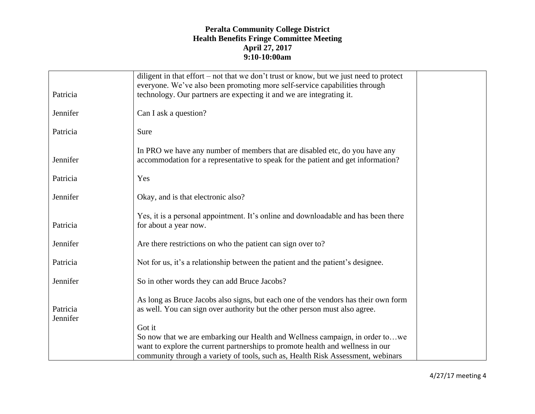|          | diligent in that effort – not that we don't trust or know, but we just need to protect |
|----------|----------------------------------------------------------------------------------------|
|          | everyone. We've also been promoting more self-service capabilities through             |
| Patricia | technology. Our partners are expecting it and we are integrating it.                   |
|          |                                                                                        |
| Jennifer | Can I ask a question?                                                                  |
| Patricia | Sure                                                                                   |
|          | In PRO we have any number of members that are disabled etc, do you have any            |
| Jennifer | accommodation for a representative to speak for the patient and get information?       |
|          |                                                                                        |
| Patricia | Yes                                                                                    |
|          |                                                                                        |
| Jennifer | Okay, and is that electronic also?                                                     |
|          |                                                                                        |
|          | Yes, it is a personal appointment. It's online and downloadable and has been there     |
| Patricia | for about a year now.                                                                  |
| Jennifer | Are there restrictions on who the patient can sign over to?                            |
|          |                                                                                        |
| Patricia | Not for us, it's a relationship between the patient and the patient's designee.        |
|          |                                                                                        |
| Jennifer | So in other words they can add Bruce Jacobs?                                           |
|          |                                                                                        |
|          | As long as Bruce Jacobs also signs, but each one of the vendors has their own form     |
| Patricia | as well. You can sign over authority but the other person must also agree.             |
| Jennifer |                                                                                        |
|          | Got it                                                                                 |
|          | So now that we are embarking our Health and Wellness campaign, in order towe           |
|          | want to explore the current partnerships to promote health and wellness in our         |
|          | community through a variety of tools, such as, Health Risk Assessment, webinars        |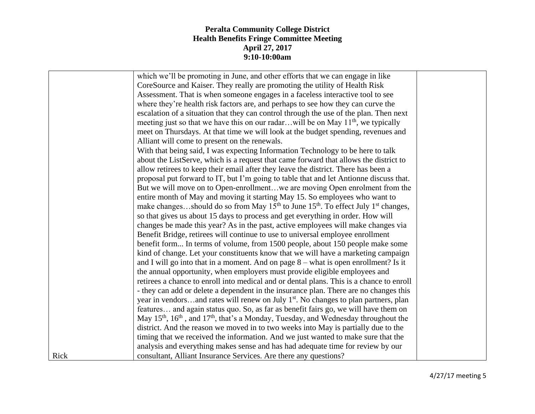|      | which we'll be promoting in June, and other efforts that we can engage in like                                        |  |
|------|-----------------------------------------------------------------------------------------------------------------------|--|
|      | CoreSource and Kaiser. They really are promoting the utility of Health Risk                                           |  |
|      | Assessment. That is when someone engages in a faceless interactive tool to see                                        |  |
|      | where they're health risk factors are, and perhaps to see how they can curve the                                      |  |
|      | escalation of a situation that they can control through the use of the plan. Then next                                |  |
|      | meeting just so that we have this on our radarwill be on May 11 <sup>th</sup> , we typically                          |  |
|      | meet on Thursdays. At that time we will look at the budget spending, revenues and                                     |  |
|      | Alliant will come to present on the renewals.                                                                         |  |
|      | With that being said, I was expecting Information Technology to be here to talk                                       |  |
|      | about the ListServe, which is a request that came forward that allows the district to                                 |  |
|      | allow retirees to keep their email after they leave the district. There has been a                                    |  |
|      | proposal put forward to IT, but I'm going to table that and let Antionne discuss that.                                |  |
|      | But we will move on to Open-enrollmentwe are moving Open enrolment from the                                           |  |
|      | entire month of May and moving it starting May 15. So employees who want to                                           |  |
|      | make changesshould do so from May 15 <sup>th</sup> to June 15 <sup>th</sup> . To effect July 1 <sup>st</sup> changes, |  |
|      | so that gives us about 15 days to process and get everything in order. How will                                       |  |
|      | changes be made this year? As in the past, active employees will make changes via                                     |  |
|      | Benefit Bridge, retirees will continue to use to universal employee enrollment                                        |  |
|      | benefit form In terms of volume, from 1500 people, about 150 people make some                                         |  |
|      | kind of change. Let your constituents know that we will have a marketing campaign                                     |  |
|      | and I will go into that in a moment. And on page $8 -$ what is open enrollment? Is it                                 |  |
|      | the annual opportunity, when employers must provide eligible employees and                                            |  |
|      | retirees a chance to enroll into medical and or dental plans. This is a chance to enroll                              |  |
|      | - they can add or delete a dependent in the insurance plan. There are no changes this                                 |  |
|      | year in vendorsand rates will renew on July 1 <sup>st</sup> . No changes to plan partners, plan                       |  |
|      | features and again status quo. So, as far as benefit fairs go, we will have them on                                   |  |
|      | May $15th$ , $16th$ , and $17th$ , that's a Monday, Tuesday, and Wednesday throughout the                             |  |
|      | district. And the reason we moved in to two weeks into May is partially due to the                                    |  |
|      | timing that we received the information. And we just wanted to make sure that the                                     |  |
|      | analysis and everything makes sense and has had adequate time for review by our                                       |  |
| Rick | consultant, Alliant Insurance Services. Are there any questions?                                                      |  |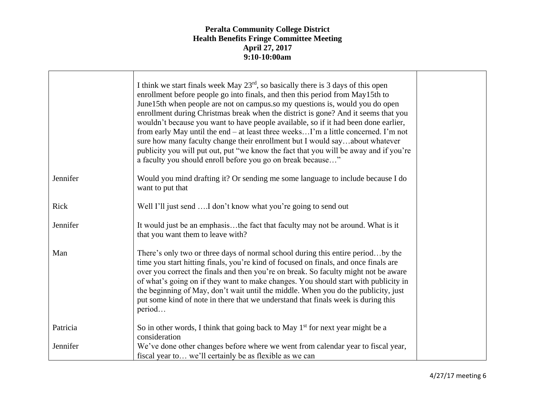|          | I think we start finals week May $23^{rd}$ , so basically there is 3 days of this open<br>enrollment before people go into finals, and then this period from May15th to<br>June15th when people are not on campus.so my questions is, would you do open<br>enrollment during Christmas break when the district is gone? And it seems that you<br>wouldn't because you want to have people available, so if it had been done earlier,<br>from early May until the end – at least three weeksI'm a little concerned. I'm not<br>sure how many faculty change their enrollment but I would sayabout whatever<br>publicity you will put out, put "we know the fact that you will be away and if you're<br>a faculty you should enroll before you go on break because" |  |
|----------|-------------------------------------------------------------------------------------------------------------------------------------------------------------------------------------------------------------------------------------------------------------------------------------------------------------------------------------------------------------------------------------------------------------------------------------------------------------------------------------------------------------------------------------------------------------------------------------------------------------------------------------------------------------------------------------------------------------------------------------------------------------------|--|
| Jennifer | Would you mind drafting it? Or sending me some language to include because I do<br>want to put that                                                                                                                                                                                                                                                                                                                                                                                                                                                                                                                                                                                                                                                               |  |
| Rick     | Well I'll just send I don't know what you're going to send out                                                                                                                                                                                                                                                                                                                                                                                                                                                                                                                                                                                                                                                                                                    |  |
| Jennifer | It would just be an emphasisthe fact that faculty may not be around. What is it<br>that you want them to leave with?                                                                                                                                                                                                                                                                                                                                                                                                                                                                                                                                                                                                                                              |  |
| Man      | There's only two or three days of normal school during this entire periodby the<br>time you start hitting finals, you're kind of focused on finals, and once finals are<br>over you correct the finals and then you're on break. So faculty might not be aware<br>of what's going on if they want to make changes. You should start with publicity in<br>the beginning of May, don't wait until the middle. When you do the publicity, just<br>put some kind of note in there that we understand that finals week is during this<br>period                                                                                                                                                                                                                        |  |
| Patricia | So in other words, I think that going back to May $1st$ for next year might be a<br>consideration                                                                                                                                                                                                                                                                                                                                                                                                                                                                                                                                                                                                                                                                 |  |
| Jennifer | We've done other changes before where we went from calendar year to fiscal year,<br>fiscal year to we'll certainly be as flexible as we can                                                                                                                                                                                                                                                                                                                                                                                                                                                                                                                                                                                                                       |  |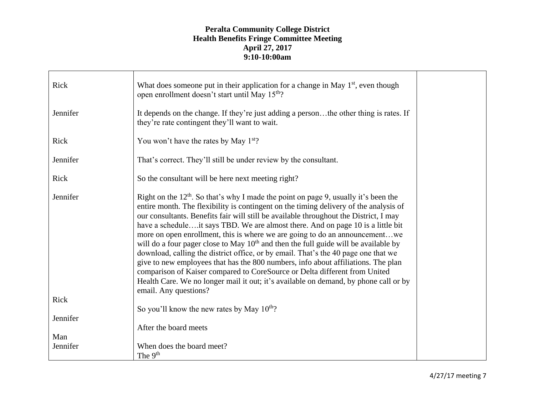| Rick     | What does someone put in their application for a change in May $1st$ , even though<br>open enrollment doesn't start until May 15 <sup>th</sup> ?                                                                                                                                                                                                                                                                                                                                                                                                                                                                                                                                                                                                                                                                                                                                                             |  |
|----------|--------------------------------------------------------------------------------------------------------------------------------------------------------------------------------------------------------------------------------------------------------------------------------------------------------------------------------------------------------------------------------------------------------------------------------------------------------------------------------------------------------------------------------------------------------------------------------------------------------------------------------------------------------------------------------------------------------------------------------------------------------------------------------------------------------------------------------------------------------------------------------------------------------------|--|
| Jennifer | It depends on the change. If they're just adding a personthe other thing is rates. If<br>they're rate contingent they'll want to wait.                                                                                                                                                                                                                                                                                                                                                                                                                                                                                                                                                                                                                                                                                                                                                                       |  |
| Rick     | You won't have the rates by May 1 <sup>st</sup> ?                                                                                                                                                                                                                                                                                                                                                                                                                                                                                                                                                                                                                                                                                                                                                                                                                                                            |  |
| Jennifer | That's correct. They'll still be under review by the consultant.                                                                                                                                                                                                                                                                                                                                                                                                                                                                                                                                                                                                                                                                                                                                                                                                                                             |  |
| Rick     | So the consultant will be here next meeting right?                                                                                                                                                                                                                                                                                                                                                                                                                                                                                                                                                                                                                                                                                                                                                                                                                                                           |  |
| Jennifer | Right on the $12th$ . So that's why I made the point on page 9, usually it's been the<br>entire month. The flexibility is contingent on the timing delivery of the analysis of<br>our consultants. Benefits fair will still be available throughout the District, I may<br>have a scheduleit says TBD. We are almost there. And on page 10 is a little bit<br>more on open enrollment, this is where we are going to do an announcementwe<br>will do a four pager close to May $10th$ and then the full guide will be available by<br>download, calling the district office, or by email. That's the 40 page one that we<br>give to new employees that has the 800 numbers, info about affiliations. The plan<br>comparison of Kaiser compared to CoreSource or Delta different from United<br>Health Care. We no longer mail it out; it's available on demand, by phone call or by<br>email. Any questions? |  |
| Rick     |                                                                                                                                                                                                                                                                                                                                                                                                                                                                                                                                                                                                                                                                                                                                                                                                                                                                                                              |  |
| Jennifer | So you'll know the new rates by May 10 <sup>th</sup> ?<br>After the board meets                                                                                                                                                                                                                                                                                                                                                                                                                                                                                                                                                                                                                                                                                                                                                                                                                              |  |
| Man      |                                                                                                                                                                                                                                                                                                                                                                                                                                                                                                                                                                                                                                                                                                                                                                                                                                                                                                              |  |
| Jennifer | When does the board meet?<br>The 9 <sup>th</sup>                                                                                                                                                                                                                                                                                                                                                                                                                                                                                                                                                                                                                                                                                                                                                                                                                                                             |  |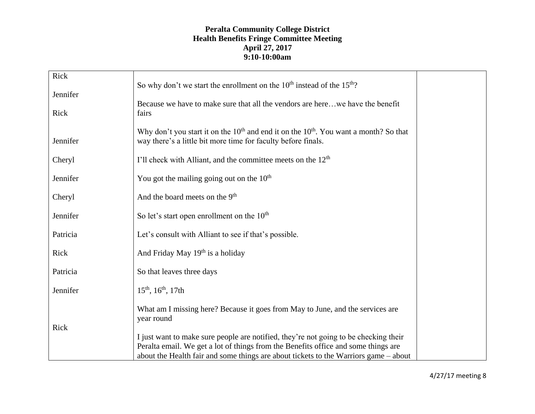| Rick     | So why don't we start the enrollment on the $10th$ instead of the $15th$ ?                                                                                                                                                                                         |  |
|----------|--------------------------------------------------------------------------------------------------------------------------------------------------------------------------------------------------------------------------------------------------------------------|--|
| Jennifer |                                                                                                                                                                                                                                                                    |  |
| Rick     | Because we have to make sure that all the vendors are herewe have the benefit<br>fairs                                                                                                                                                                             |  |
| Jennifer | Why don't you start it on the $10th$ and end it on the $10th$ . You want a month? So that<br>way there's a little bit more time for faculty before finals.                                                                                                         |  |
| Cheryl   | I'll check with Alliant, and the committee meets on the 12 <sup>th</sup>                                                                                                                                                                                           |  |
| Jennifer | You got the mailing going out on the $10th$                                                                                                                                                                                                                        |  |
| Cheryl   | And the board meets on the 9 <sup>th</sup>                                                                                                                                                                                                                         |  |
| Jennifer | So let's start open enrollment on the 10 <sup>th</sup>                                                                                                                                                                                                             |  |
| Patricia | Let's consult with Alliant to see if that's possible.                                                                                                                                                                                                              |  |
| Rick     | And Friday May 19th is a holiday                                                                                                                                                                                                                                   |  |
| Patricia | So that leaves three days                                                                                                                                                                                                                                          |  |
| Jennifer | $15^{th}$ , $16^{th}$ , $17th$                                                                                                                                                                                                                                     |  |
| Rick     | What am I missing here? Because it goes from May to June, and the services are<br>year round                                                                                                                                                                       |  |
|          | I just want to make sure people are notified, they're not going to be checking their<br>Peralta email. We get a lot of things from the Benefits office and some things are<br>about the Health fair and some things are about tickets to the Warriors game – about |  |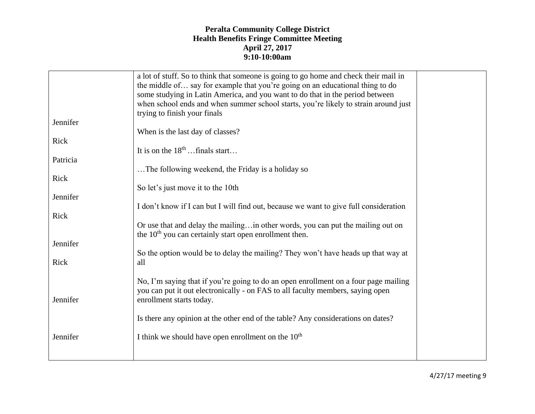|          | a lot of stuff. So to think that someone is going to go home and check their mail in<br>the middle of say for example that you're going on an educational thing to do<br>some studying in Latin America, and you want to do that in the period between<br>when school ends and when summer school starts, you're likely to strain around just<br>trying to finish your finals |  |
|----------|-------------------------------------------------------------------------------------------------------------------------------------------------------------------------------------------------------------------------------------------------------------------------------------------------------------------------------------------------------------------------------|--|
| Jennifer |                                                                                                                                                                                                                                                                                                                                                                               |  |
|          | When is the last day of classes?                                                                                                                                                                                                                                                                                                                                              |  |
|          |                                                                                                                                                                                                                                                                                                                                                                               |  |
| Rick     |                                                                                                                                                                                                                                                                                                                                                                               |  |
|          | It is on the $18th$ finals start                                                                                                                                                                                                                                                                                                                                              |  |
| Patricia |                                                                                                                                                                                                                                                                                                                                                                               |  |
|          |                                                                                                                                                                                                                                                                                                                                                                               |  |
|          | The following weekend, the Friday is a holiday so                                                                                                                                                                                                                                                                                                                             |  |
| Rick     |                                                                                                                                                                                                                                                                                                                                                                               |  |
|          | So let's just move it to the 10th                                                                                                                                                                                                                                                                                                                                             |  |
| Jennifer |                                                                                                                                                                                                                                                                                                                                                                               |  |
|          |                                                                                                                                                                                                                                                                                                                                                                               |  |
|          | I don't know if I can but I will find out, because we want to give full consideration                                                                                                                                                                                                                                                                                         |  |
| Rick     |                                                                                                                                                                                                                                                                                                                                                                               |  |
|          | Or use that and delay the mailing in other words, you can put the mailing out on<br>the $10th$ you can certainly start open enrollment then.                                                                                                                                                                                                                                  |  |
| Jennifer |                                                                                                                                                                                                                                                                                                                                                                               |  |
|          |                                                                                                                                                                                                                                                                                                                                                                               |  |
|          | So the option would be to delay the mailing? They won't have heads up that way at                                                                                                                                                                                                                                                                                             |  |
| Rick     | all                                                                                                                                                                                                                                                                                                                                                                           |  |
|          |                                                                                                                                                                                                                                                                                                                                                                               |  |
| Jennifer | No, I'm saying that if you're going to do an open enrollment on a four page mailing<br>you can put it out electronically - on FAS to all faculty members, saying open<br>enrollment starts today.                                                                                                                                                                             |  |
|          |                                                                                                                                                                                                                                                                                                                                                                               |  |
|          | Is there any opinion at the other end of the table? Any considerations on dates?                                                                                                                                                                                                                                                                                              |  |
|          |                                                                                                                                                                                                                                                                                                                                                                               |  |
| Jennifer | I think we should have open enrollment on the $10th$                                                                                                                                                                                                                                                                                                                          |  |
|          |                                                                                                                                                                                                                                                                                                                                                                               |  |
|          |                                                                                                                                                                                                                                                                                                                                                                               |  |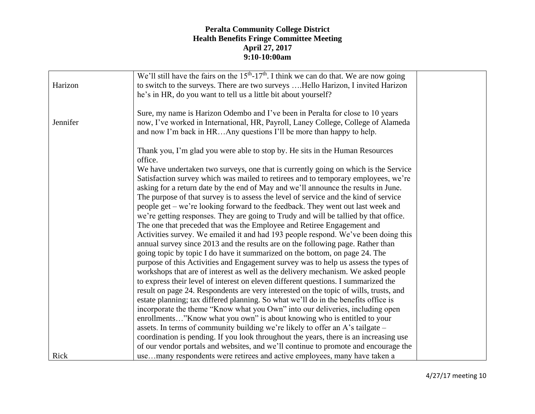| Harizon  | We'll still have the fairs on the $15th$ -17 <sup>th</sup> . I think we can do that. We are now going<br>to switch to the surveys. There are two surveys Hello Harizon, I invited Harizon<br>he's in HR, do you want to tell us a little bit about yourself?    |  |
|----------|-----------------------------------------------------------------------------------------------------------------------------------------------------------------------------------------------------------------------------------------------------------------|--|
| Jennifer | Sure, my name is Harizon Odembo and I've been in Peralta for close to 10 years<br>now, I've worked in International, HR, Payroll, Laney College, College of Alameda<br>and now I'm back in HRAny questions I'll be more than happy to help.                     |  |
|          | Thank you, I'm glad you were able to stop by. He sits in the Human Resources<br>office.<br>We have undertaken two surveys, one that is currently going on which is the Service                                                                                  |  |
|          | Satisfaction survey which was mailed to retirees and to temporary employees, we're<br>asking for a return date by the end of May and we'll announce the results in June.                                                                                        |  |
|          | The purpose of that survey is to assess the level of service and the kind of service<br>people get – we're looking forward to the feedback. They went out last week and<br>we're getting responses. They are going to Trudy and will be tallied by that office. |  |
|          | The one that preceded that was the Employee and Retiree Engagement and<br>Activities survey. We emailed it and had 193 people respond. We've been doing this                                                                                                    |  |
|          | annual survey since 2013 and the results are on the following page. Rather than<br>going topic by topic I do have it summarized on the bottom, on page 24. The<br>purpose of this Activities and Engagement survey was to help us assess the types of           |  |
|          | workshops that are of interest as well as the delivery mechanism. We asked people<br>to express their level of interest on eleven different questions. I summarized the                                                                                         |  |
|          | result on page 24. Respondents are very interested on the topic of wills, trusts, and<br>estate planning; tax differed planning. So what we'll do in the benefits office is<br>incorporate the theme "Know what you Own" into our deliveries, including open    |  |
|          | enrollments"Know what you own" is about knowing who is entitled to your<br>assets. In terms of community building we're likely to offer an A's tailgate –                                                                                                       |  |
|          | coordination is pending. If you look throughout the years, there is an increasing use<br>of our vendor portals and websites, and we'll continue to promote and encourage the                                                                                    |  |
| Rick     | usemany respondents were retirees and active employees, many have taken a                                                                                                                                                                                       |  |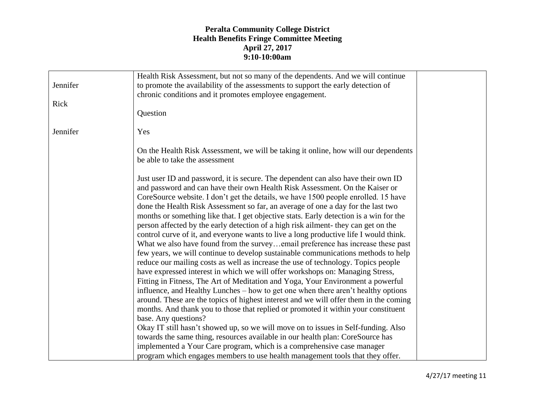|          | Health Risk Assessment, but not so many of the dependents. And we will continue                                                                                                                                                                                                                                                                                                                                                                                                                                                                                                                                                                                                                                                                                                              |  |
|----------|----------------------------------------------------------------------------------------------------------------------------------------------------------------------------------------------------------------------------------------------------------------------------------------------------------------------------------------------------------------------------------------------------------------------------------------------------------------------------------------------------------------------------------------------------------------------------------------------------------------------------------------------------------------------------------------------------------------------------------------------------------------------------------------------|--|
| Jennifer | to promote the availability of the assessments to support the early detection of<br>chronic conditions and it promotes employee engagement.                                                                                                                                                                                                                                                                                                                                                                                                                                                                                                                                                                                                                                                  |  |
| Rick     |                                                                                                                                                                                                                                                                                                                                                                                                                                                                                                                                                                                                                                                                                                                                                                                              |  |
|          | Question                                                                                                                                                                                                                                                                                                                                                                                                                                                                                                                                                                                                                                                                                                                                                                                     |  |
| Jennifer | Yes                                                                                                                                                                                                                                                                                                                                                                                                                                                                                                                                                                                                                                                                                                                                                                                          |  |
|          | On the Health Risk Assessment, we will be taking it online, how will our dependents<br>be able to take the assessment                                                                                                                                                                                                                                                                                                                                                                                                                                                                                                                                                                                                                                                                        |  |
|          | Just user ID and password, it is secure. The dependent can also have their own ID<br>and password and can have their own Health Risk Assessment. On the Kaiser or<br>CoreSource website. I don't get the details, we have 1500 people enrolled. 15 have<br>done the Health Risk Assessment so far, an average of one a day for the last two<br>months or something like that. I get objective stats. Early detection is a win for the<br>person affected by the early detection of a high risk ailment- they can get on the<br>control curve of it, and everyone wants to live a long productive life I would think.<br>What we also have found from the surveyemail preference has increase these past<br>few years, we will continue to develop sustainable communications methods to help |  |
|          | reduce our mailing costs as well as increase the use of technology. Topics people<br>have expressed interest in which we will offer workshops on: Managing Stress,<br>Fitting in Fitness, The Art of Meditation and Yoga, Your Environment a powerful                                                                                                                                                                                                                                                                                                                                                                                                                                                                                                                                        |  |
|          | influence, and Healthy Lunches – how to get one when there aren't healthy options<br>around. These are the topics of highest interest and we will offer them in the coming<br>months. And thank you to those that replied or promoted it within your constituent                                                                                                                                                                                                                                                                                                                                                                                                                                                                                                                             |  |
|          | base. Any questions?                                                                                                                                                                                                                                                                                                                                                                                                                                                                                                                                                                                                                                                                                                                                                                         |  |
|          | Okay IT still hasn't showed up, so we will move on to issues in Self-funding. Also                                                                                                                                                                                                                                                                                                                                                                                                                                                                                                                                                                                                                                                                                                           |  |
|          | towards the same thing, resources available in our health plan: CoreSource has                                                                                                                                                                                                                                                                                                                                                                                                                                                                                                                                                                                                                                                                                                               |  |
|          | implemented a Your Care program, which is a comprehensive case manager                                                                                                                                                                                                                                                                                                                                                                                                                                                                                                                                                                                                                                                                                                                       |  |
|          | program which engages members to use health management tools that they offer.                                                                                                                                                                                                                                                                                                                                                                                                                                                                                                                                                                                                                                                                                                                |  |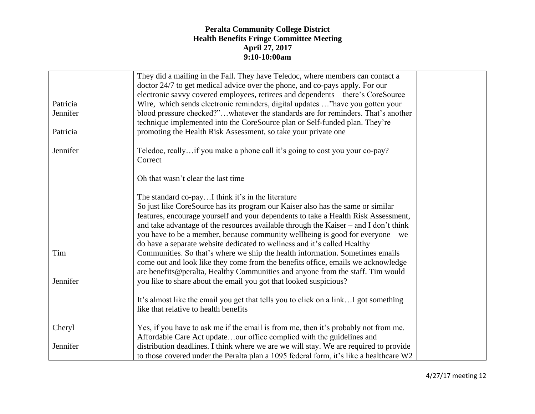|          | They did a mailing in the Fall. They have Teledoc, where members can contact a         |  |
|----------|----------------------------------------------------------------------------------------|--|
|          | doctor 24/7 to get medical advice over the phone, and co-pays apply. For our           |  |
|          | electronic savvy covered employees, retirees and dependents – there's CoreSource       |  |
| Patricia | Wire, which sends electronic reminders, digital updates "have you gotten your          |  |
| Jennifer | blood pressure checked?"whatever the standards are for reminders. That's another       |  |
|          | technique implemented into the CoreSource plan or Self-funded plan. They're            |  |
| Patricia | promoting the Health Risk Assessment, so take your private one                         |  |
|          |                                                                                        |  |
| Jennifer | Teledoc, reallyif you make a phone call it's going to cost you your co-pay?            |  |
|          | Correct                                                                                |  |
|          |                                                                                        |  |
|          | Oh that wasn't clear the last time                                                     |  |
|          |                                                                                        |  |
|          | The standard co-payI think it's in the literature                                      |  |
|          | So just like CoreSource has its program our Kaiser also has the same or similar        |  |
|          | features, encourage yourself and your dependents to take a Health Risk Assessment,     |  |
|          | and take advantage of the resources available through the Kaiser - and I don't think   |  |
|          | you have to be a member, because community wellbeing is good for everyone – we         |  |
|          | do have a separate website dedicated to wellness and it's called Healthy               |  |
| Tim      | Communities. So that's where we ship the health information. Sometimes emails          |  |
|          | come out and look like they come from the benefits office, emails we acknowledge       |  |
|          | are benefits@peralta, Healthy Communities and anyone from the staff. Tim would         |  |
| Jennifer | you like to share about the email you got that looked suspicious?                      |  |
|          |                                                                                        |  |
|          | It's almost like the email you get that tells you to click on a link I got something   |  |
|          | like that relative to health benefits                                                  |  |
| Cheryl   | Yes, if you have to ask me if the email is from me, then it's probably not from me.    |  |
|          | Affordable Care Act updateour office complied with the guidelines and                  |  |
| Jennifer | distribution deadlines. I think where we are we will stay. We are required to provide  |  |
|          | to those covered under the Peralta plan a 1095 federal form, it's like a healthcare W2 |  |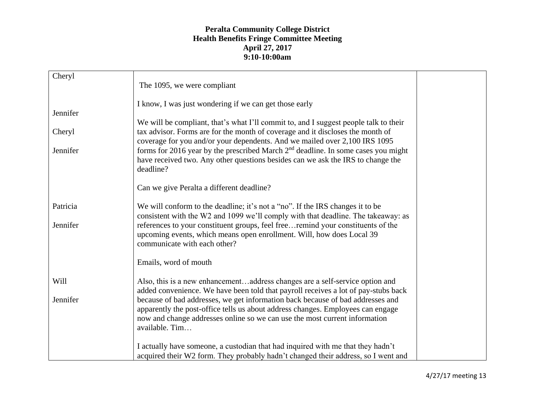| Cheryl   | The 1095, we were compliant                                                                                                                                  |  |
|----------|--------------------------------------------------------------------------------------------------------------------------------------------------------------|--|
|          |                                                                                                                                                              |  |
|          | I know, I was just wondering if we can get those early                                                                                                       |  |
| Jennifer |                                                                                                                                                              |  |
|          | We will be compliant, that's what I'll commit to, and I suggest people talk to their                                                                         |  |
| Cheryl   | tax advisor. Forms are for the month of coverage and it discloses the month of<br>coverage for you and/or your dependents. And we mailed over 2,100 IRS 1095 |  |
| Jennifer | forms for 2016 year by the prescribed March $2nd$ deadline. In some cases you might                                                                          |  |
|          | have received two. Any other questions besides can we ask the IRS to change the                                                                              |  |
|          | deadline?                                                                                                                                                    |  |
|          |                                                                                                                                                              |  |
|          | Can we give Peralta a different deadline?                                                                                                                    |  |
|          |                                                                                                                                                              |  |
| Patricia | We will conform to the deadline; it's not a "no". If the IRS changes it to be                                                                                |  |
|          | consistent with the W2 and 1099 we'll comply with that deadline. The takeaway: as                                                                            |  |
| Jennifer | references to your constituent groups, feel freeremind your constituents of the                                                                              |  |
|          | upcoming events, which means open enrollment. Will, how does Local 39                                                                                        |  |
|          | communicate with each other?                                                                                                                                 |  |
|          |                                                                                                                                                              |  |
|          | Emails, word of mouth                                                                                                                                        |  |
|          |                                                                                                                                                              |  |
| Will     |                                                                                                                                                              |  |
|          | Also, this is a new enhancementaddress changes are a self-service option and                                                                                 |  |
|          | added convenience. We have been told that payroll receives a lot of pay-stubs back                                                                           |  |
| Jennifer | because of bad addresses, we get information back because of bad addresses and                                                                               |  |
|          | apparently the post-office tells us about address changes. Employees can engage                                                                              |  |
|          | now and change addresses online so we can use the most current information                                                                                   |  |
|          | available. Tim                                                                                                                                               |  |
|          |                                                                                                                                                              |  |
|          | I actually have someone, a custodian that had inquired with me that they hadn't                                                                              |  |
|          | acquired their W2 form. They probably hadn't changed their address, so I went and                                                                            |  |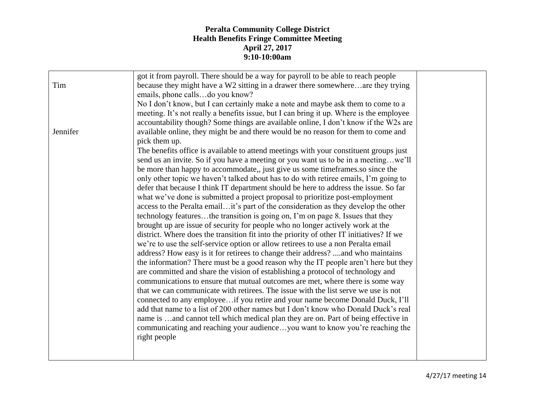|          | got it from payroll. There should be a way for payroll to be able to reach people        |  |
|----------|------------------------------------------------------------------------------------------|--|
| Tim      | because they might have a W2 sitting in a drawer there somewhereare they trying          |  |
|          | emails, phone callsdo you know?                                                          |  |
|          | No I don't know, but I can certainly make a note and maybe ask them to come to a         |  |
|          | meeting. It's not really a benefits issue, but I can bring it up. Where is the employee  |  |
|          | accountability though? Some things are available online, I don't know if the W2s are     |  |
| Jennifer | available online, they might be and there would be no reason for them to come and        |  |
|          | pick them up.                                                                            |  |
|          | The benefits office is available to attend meetings with your constituent groups just    |  |
|          | send us an invite. So if you have a meeting or you want us to be in a meetingwe'll       |  |
|          | be more than happy to accommodate,, just give us some timeframes.so since the            |  |
|          | only other topic we haven't talked about has to do with retiree emails, I'm going to     |  |
|          | defer that because I think IT department should be here to address the issue. So far     |  |
|          | what we've done is submitted a project proposal to prioritize post-employment            |  |
|          | access to the Peralta emailit's part of the consideration as they develop the other      |  |
|          | technology featuresthe transition is going on, I'm on page 8. Issues that they           |  |
|          | brought up are issue of security for people who no longer actively work at the           |  |
|          | district. Where does the transition fit into the priority of other IT initiatives? If we |  |
|          | we're to use the self-service option or allow retirees to use a non Peralta email        |  |
|          | address? How easy is it for retirees to change their address? and who maintains          |  |
|          | the information? There must be a good reason why the IT people aren't here but they      |  |
|          | are committed and share the vision of establishing a protocol of technology and          |  |
|          | communications to ensure that mutual outcomes are met, where there is some way           |  |
|          | that we can communicate with retirees. The issue with the list serve we use is not       |  |
|          | connected to any employeeif you retire and your name become Donald Duck, I'll            |  |
|          | add that name to a list of 200 other names but I don't know who Donald Duck's real       |  |
|          | name is and cannot tell which medical plan they are on. Part of being effective in       |  |
|          | communicating and reaching your audienceyou want to know you're reaching the             |  |
|          | right people                                                                             |  |
|          |                                                                                          |  |
|          |                                                                                          |  |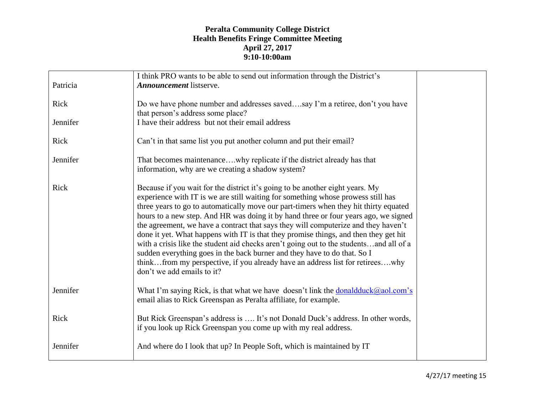| Patricia | I think PRO wants to be able to send out information through the District's<br><b>Announcement</b> listserve.                                                                                                                                                                                                                                                                                                                                                                                                                                                                                                                                                                                                                                                                                                       |  |
|----------|---------------------------------------------------------------------------------------------------------------------------------------------------------------------------------------------------------------------------------------------------------------------------------------------------------------------------------------------------------------------------------------------------------------------------------------------------------------------------------------------------------------------------------------------------------------------------------------------------------------------------------------------------------------------------------------------------------------------------------------------------------------------------------------------------------------------|--|
| Rick     | Do we have phone number and addresses savedsay I'm a retiree, don't you have<br>that person's address some place?                                                                                                                                                                                                                                                                                                                                                                                                                                                                                                                                                                                                                                                                                                   |  |
| Jennifer | I have their address but not their email address                                                                                                                                                                                                                                                                                                                                                                                                                                                                                                                                                                                                                                                                                                                                                                    |  |
| Rick     | Can't in that same list you put another column and put their email?                                                                                                                                                                                                                                                                                                                                                                                                                                                                                                                                                                                                                                                                                                                                                 |  |
| Jennifer | That becomes maintenancewhy replicate if the district already has that<br>information, why are we creating a shadow system?                                                                                                                                                                                                                                                                                                                                                                                                                                                                                                                                                                                                                                                                                         |  |
| Rick     | Because if you wait for the district it's going to be another eight years. My<br>experience with IT is we are still waiting for something whose prowess still has<br>three years to go to automatically move our part-timers when they hit thirty equated<br>hours to a new step. And HR was doing it by hand three or four years ago, we signed<br>the agreement, we have a contract that says they will computerize and they haven't<br>done it yet. What happens with IT is that they promise things, and then they get hit<br>with a crisis like the student aid checks aren't going out to the studentsand all of a<br>sudden everything goes in the back burner and they have to do that. So I<br>thinkfrom my perspective, if you already have an address list for retireeswhy<br>don't we add emails to it? |  |
| Jennifer | What I'm saying Rick, is that what we have doesn't link the donald duck $(a)$ aol.com's<br>email alias to Rick Greenspan as Peralta affiliate, for example.                                                                                                                                                                                                                                                                                                                                                                                                                                                                                                                                                                                                                                                         |  |
| Rick     | But Rick Greenspan's address is  It's not Donald Duck's address. In other words,<br>if you look up Rick Greenspan you come up with my real address.                                                                                                                                                                                                                                                                                                                                                                                                                                                                                                                                                                                                                                                                 |  |
| Jennifer | And where do I look that up? In People Soft, which is maintained by IT                                                                                                                                                                                                                                                                                                                                                                                                                                                                                                                                                                                                                                                                                                                                              |  |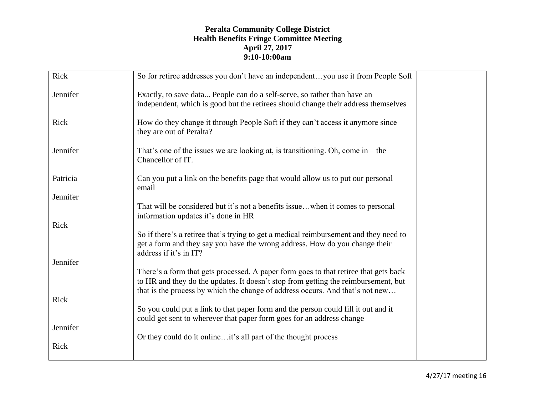| Rick     | So for retiree addresses you don't have an independentyou use it from People Soft                                                                                                                                                                           |
|----------|-------------------------------------------------------------------------------------------------------------------------------------------------------------------------------------------------------------------------------------------------------------|
| Jennifer | Exactly, to save data People can do a self-serve, so rather than have an<br>independent, which is good but the retirees should change their address themselves                                                                                              |
| Rick     | How do they change it through People Soft if they can't access it anymore since<br>they are out of Peralta?                                                                                                                                                 |
| Jennifer | That's one of the issues we are looking at, is transitioning. Oh, come in $-$ the<br>Chancellor of IT.                                                                                                                                                      |
| Patricia | Can you put a link on the benefits page that would allow us to put our personal<br>email                                                                                                                                                                    |
| Jennifer |                                                                                                                                                                                                                                                             |
|          | That will be considered but it's not a benefits issuewhen it comes to personal<br>information updates it's done in HR                                                                                                                                       |
| Rick     |                                                                                                                                                                                                                                                             |
|          | So if there's a retiree that's trying to get a medical reimbursement and they need to<br>get a form and they say you have the wrong address. How do you change their<br>address if it's in IT?                                                              |
| Jennifer |                                                                                                                                                                                                                                                             |
|          | There's a form that gets processed. A paper form goes to that retiree that gets back<br>to HR and they do the updates. It doesn't stop from getting the reimbursement, but<br>that is the process by which the change of address occurs. And that's not new |
| Rick     |                                                                                                                                                                                                                                                             |
|          | So you could put a link to that paper form and the person could fill it out and it<br>could get sent to wherever that paper form goes for an address change                                                                                                 |
| Jennifer |                                                                                                                                                                                                                                                             |
| Rick     | Or they could do it onlineit's all part of the thought process                                                                                                                                                                                              |

4/27/17 meeting 16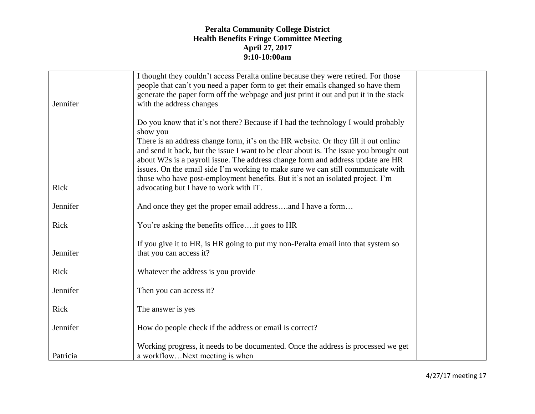|          | I thought they couldn't access Peralta online because they were retired. For those<br>people that can't you need a paper form to get their emails changed so have them<br>generate the paper form off the webpage and just print it out and put it in the stack                                                                                                                                                                                                                                                                                                                   |  |
|----------|-----------------------------------------------------------------------------------------------------------------------------------------------------------------------------------------------------------------------------------------------------------------------------------------------------------------------------------------------------------------------------------------------------------------------------------------------------------------------------------------------------------------------------------------------------------------------------------|--|
| Jennifer | with the address changes                                                                                                                                                                                                                                                                                                                                                                                                                                                                                                                                                          |  |
| Rick     | Do you know that it's not there? Because if I had the technology I would probably<br>show you<br>There is an address change form, it's on the HR website. Or they fill it out online<br>and send it back, but the issue I want to be clear about is. The issue you brought out<br>about W2s is a payroll issue. The address change form and address update are HR<br>issues. On the email side I'm working to make sure we can still communicate with<br>those who have post-employment benefits. But it's not an isolated project. I'm<br>advocating but I have to work with IT. |  |
| Jennifer | And once they get the proper email addressand I have a form                                                                                                                                                                                                                                                                                                                                                                                                                                                                                                                       |  |
| Rick     | You're asking the benefits officeit goes to HR                                                                                                                                                                                                                                                                                                                                                                                                                                                                                                                                    |  |
| Jennifer | If you give it to HR, is HR going to put my non-Peralta email into that system so<br>that you can access it?                                                                                                                                                                                                                                                                                                                                                                                                                                                                      |  |
| Rick     | Whatever the address is you provide                                                                                                                                                                                                                                                                                                                                                                                                                                                                                                                                               |  |
| Jennifer | Then you can access it?                                                                                                                                                                                                                                                                                                                                                                                                                                                                                                                                                           |  |
| Rick     | The answer is yes                                                                                                                                                                                                                                                                                                                                                                                                                                                                                                                                                                 |  |
| Jennifer | How do people check if the address or email is correct?                                                                                                                                                                                                                                                                                                                                                                                                                                                                                                                           |  |
| Patricia | Working progress, it needs to be documented. Once the address is processed we get<br>a workflowNext meeting is when                                                                                                                                                                                                                                                                                                                                                                                                                                                               |  |

4/27/17 meeting 17